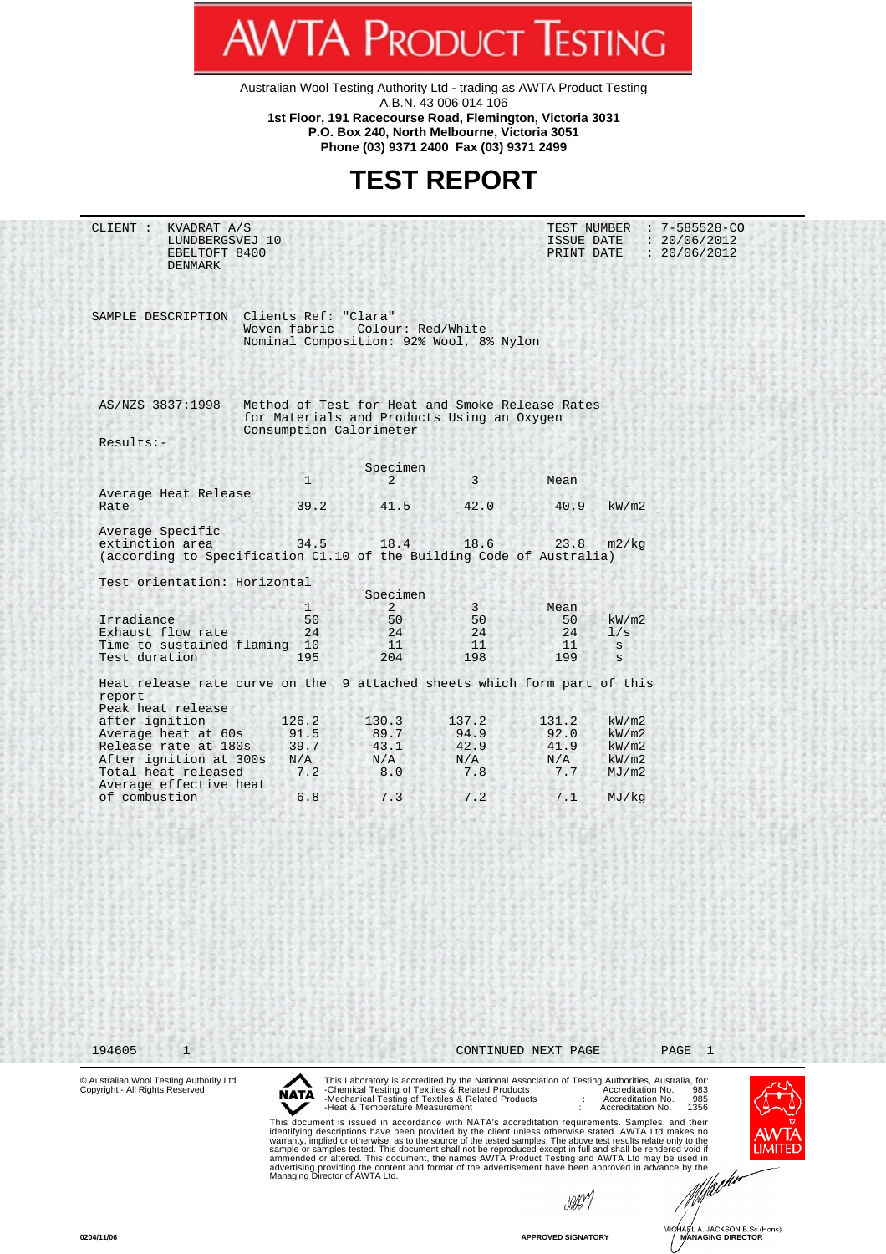Australian Wool Testing Authority Ltd - trading as AWTA Product Testing A.B.N. 43 006 014 106 **1st Floor, 191 Racecourse Road, Flemington, Victoria 3031 P.O. Box 240, North Melbourne, Victoria 3051**

**WTA PRODUCT TESTING** 

**Phone (03) 9371 2400 Fax (03) 9371 2499**

## **TEST REPORT**

CLIENT : KVADRAT A/S TEST NUMBER : 7-585528-CO LUNDBERGSVEJ 10 1SSUE DATE : 20/06/2012 EBELTOFT 8400 PRINT DATE : 20/06/2012 DENMARK SAMPLE DESCRIPTION Clients Ref: "Clara" Woven fabric Colour: Red/White Nominal Composition: 92% Wool, 8% Nylon AS/NZS 3837:1998 Method of Test for Heat and Smoke Release Rates for Materials and Products Using an Oxygen Consumption Calorimeter Results:- Specimen  $1$   $2$   $3$  Mean Average Heat Release Rate 39.2 41.5 42.0 40.9 kW/m2 Average Specific extinction area 34.5 18.4 18.6 23.8 m2/kg (according to Specification C1.10 of the Building Code of Australia) Test orientation: Horizontal Specimen<br>1 2  $1$   $2$   $3$  Mean Irradiance 50 50 50 kW/m2 Exhaust flow rate  $24$   $24$   $24$   $24$   $24$   $1/s$ Time to sustained flaming 10  $\begin{array}{ccc} 11 & 11 & 11 & s \\ 1 \end{array}$  and the sustainable to the sustainable sustainable sustainable sustainable sustainable sustainable sustainable sustainable sustainable sustainable sustainable sus Test duration Heat release rate curve on the 9 attached sheets which form part of this report Peak heat release after ignition 126.2 130.3 137.2 131.2 kW/m2<br>Average heat at 60s 91.5 89.7 94.9 92.0 kW/m2 Average heat at 60s 91.5 89.7 94.9 92.0 kW/m2<br>Release rate at 180s 39.7 43.1 42.9 41.9 kW/m2 Release rate at 180s 39.7 43.1 42.9 41.9 kW/m2<br>After ignition at 300s N/A N/A N/A N/A kW/m2 After ignition at 300s N/A N/A N/A N/A kW/m2<br>Total heat released 7.2 8.0 7.8 7.7 MJ/m2 Total heat released Average effective heat of combustion 6.8 7.3 7.2 7.1 MJ/kg 194605 1 CONTINUED NEXT PAGE PAGE 1© Australian Wool Testing Authority Ltd Copyright - All Rights Reserved This Laboratory is accredited by the National Association of Testing Authorities, Australia, for:<br>-Chemical Testing of Textiles & Related Products [1899] . Maccreditation No. [983]<br>-Mechanical Testing of Textiles & Related **NATA** This document is issued in accordance with NATA's accreditation requirements. Samples, and their<br>identifying descriptions have been provided by the client unless otherwise stated. AWTA Ltd makes no<br>warranty, implied or oth **LIMITE** 

stor